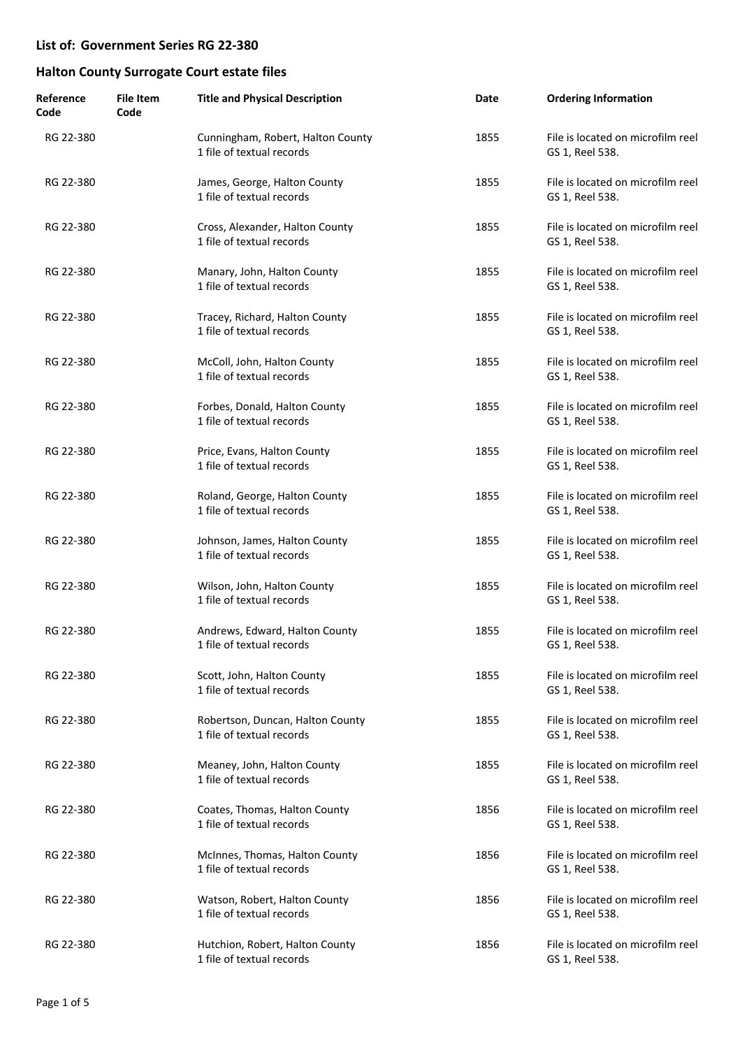| Reference<br>Code | <b>File Item</b><br>Code | <b>Title and Physical Description</b>                          | Date | <b>Ordering Information</b>                          |
|-------------------|--------------------------|----------------------------------------------------------------|------|------------------------------------------------------|
| RG 22-380         |                          | Cunningham, Robert, Halton County<br>1 file of textual records | 1855 | File is located on microfilm reel<br>GS 1, Reel 538. |
| RG 22-380         |                          | James, George, Halton County<br>1 file of textual records      | 1855 | File is located on microfilm reel<br>GS 1, Reel 538. |
| RG 22-380         |                          | Cross, Alexander, Halton County<br>1 file of textual records   | 1855 | File is located on microfilm reel<br>GS 1, Reel 538. |
| RG 22-380         |                          | Manary, John, Halton County<br>1 file of textual records       | 1855 | File is located on microfilm reel<br>GS 1, Reel 538. |
| RG 22-380         |                          | Tracey, Richard, Halton County<br>1 file of textual records    | 1855 | File is located on microfilm reel<br>GS 1, Reel 538. |
| RG 22-380         |                          | McColl, John, Halton County<br>1 file of textual records       | 1855 | File is located on microfilm reel<br>GS 1, Reel 538. |
| RG 22-380         |                          | Forbes, Donald, Halton County<br>1 file of textual records     | 1855 | File is located on microfilm reel<br>GS 1, Reel 538. |
| RG 22-380         |                          | Price, Evans, Halton County<br>1 file of textual records       | 1855 | File is located on microfilm reel<br>GS 1, Reel 538. |
| RG 22-380         |                          | Roland, George, Halton County<br>1 file of textual records     | 1855 | File is located on microfilm reel<br>GS 1, Reel 538. |
| RG 22-380         |                          | Johnson, James, Halton County<br>1 file of textual records     | 1855 | File is located on microfilm reel<br>GS 1, Reel 538. |
| RG 22-380         |                          | Wilson, John, Halton County<br>1 file of textual records       | 1855 | File is located on microfilm reel<br>GS 1, Reel 538. |
| RG 22-380         |                          | Andrews, Edward, Halton County<br>1 file of textual records    | 1855 | File is located on microfilm reel<br>GS 1, Reel 538. |
| RG 22-380         |                          | Scott, John, Halton County<br>1 file of textual records        | 1855 | File is located on microfilm reel<br>GS 1, Reel 538. |
| RG 22-380         |                          | Robertson, Duncan, Halton County<br>1 file of textual records  | 1855 | File is located on microfilm reel<br>GS 1, Reel 538. |
| RG 22-380         |                          | Meaney, John, Halton County<br>1 file of textual records       | 1855 | File is located on microfilm reel<br>GS 1, Reel 538. |
| RG 22-380         |                          | Coates, Thomas, Halton County<br>1 file of textual records     | 1856 | File is located on microfilm reel<br>GS 1, Reel 538. |
| RG 22-380         |                          | McInnes, Thomas, Halton County<br>1 file of textual records    | 1856 | File is located on microfilm reel<br>GS 1, Reel 538. |
| RG 22-380         |                          | Watson, Robert, Halton County<br>1 file of textual records     | 1856 | File is located on microfilm reel<br>GS 1, Reel 538. |
| RG 22-380         |                          | Hutchion, Robert, Halton County<br>1 file of textual records   | 1856 | File is located on microfilm reel<br>GS 1, Reel 538. |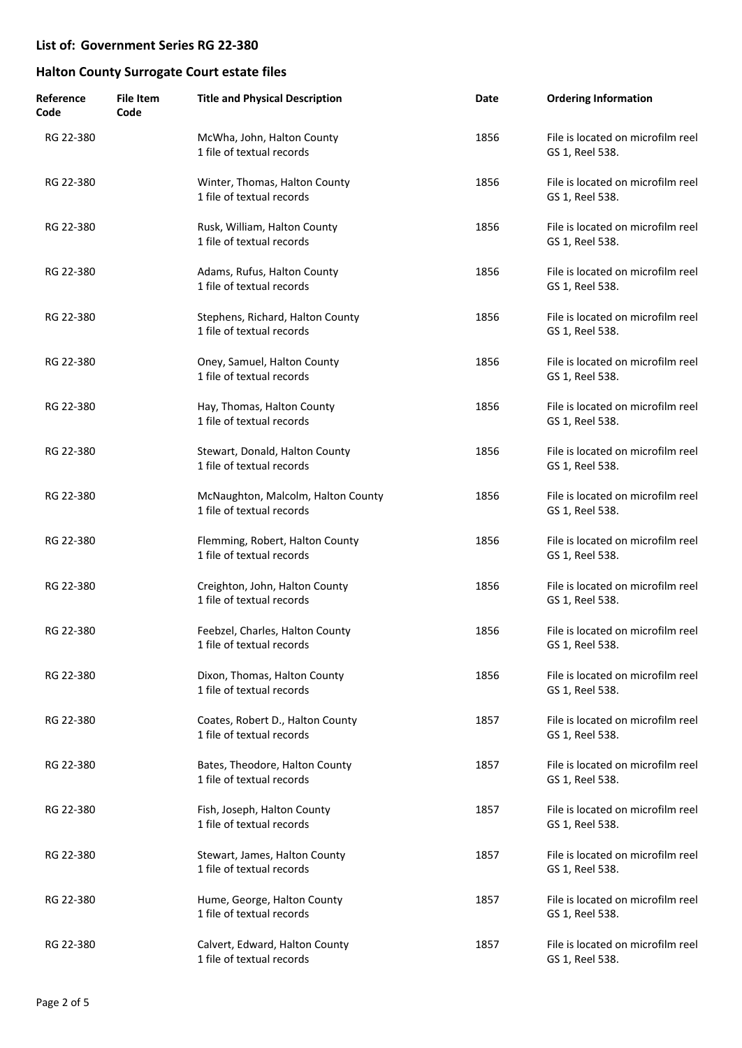| Reference<br>Code | File Item<br>Code | <b>Title and Physical Description</b>                           | Date | <b>Ordering Information</b>                          |
|-------------------|-------------------|-----------------------------------------------------------------|------|------------------------------------------------------|
| RG 22-380         |                   | McWha, John, Halton County<br>1 file of textual records         | 1856 | File is located on microfilm reel<br>GS 1, Reel 538. |
| RG 22-380         |                   | Winter, Thomas, Halton County<br>1 file of textual records      | 1856 | File is located on microfilm reel<br>GS 1, Reel 538. |
| RG 22-380         |                   | Rusk, William, Halton County<br>1 file of textual records       | 1856 | File is located on microfilm reel<br>GS 1, Reel 538. |
| RG 22-380         |                   | Adams, Rufus, Halton County<br>1 file of textual records        | 1856 | File is located on microfilm reel<br>GS 1, Reel 538. |
| RG 22-380         |                   | Stephens, Richard, Halton County<br>1 file of textual records   | 1856 | File is located on microfilm reel<br>GS 1, Reel 538. |
| RG 22-380         |                   | Oney, Samuel, Halton County<br>1 file of textual records        | 1856 | File is located on microfilm reel<br>GS 1, Reel 538. |
| RG 22-380         |                   | Hay, Thomas, Halton County<br>1 file of textual records         | 1856 | File is located on microfilm reel<br>GS 1, Reel 538. |
| RG 22-380         |                   | Stewart, Donald, Halton County<br>1 file of textual records     | 1856 | File is located on microfilm reel<br>GS 1, Reel 538. |
| RG 22-380         |                   | McNaughton, Malcolm, Halton County<br>1 file of textual records | 1856 | File is located on microfilm reel<br>GS 1, Reel 538. |
| RG 22-380         |                   | Flemming, Robert, Halton County<br>1 file of textual records    | 1856 | File is located on microfilm reel<br>GS 1, Reel 538. |
| RG 22-380         |                   | Creighton, John, Halton County<br>1 file of textual records     | 1856 | File is located on microfilm reel<br>GS 1, Reel 538. |
| RG 22-380         |                   | Feebzel, Charles, Halton County<br>1 file of textual records    | 1856 | File is located on microfilm reel<br>GS 1, Reel 538. |
| RG 22-380         |                   | Dixon, Thomas, Halton County<br>1 file of textual records       | 1856 | File is located on microfilm reel<br>GS 1, Reel 538. |
| RG 22-380         |                   | Coates, Robert D., Halton County<br>1 file of textual records   | 1857 | File is located on microfilm reel<br>GS 1, Reel 538. |
| RG 22-380         |                   | Bates, Theodore, Halton County<br>1 file of textual records     | 1857 | File is located on microfilm reel<br>GS 1, Reel 538. |
| RG 22-380         |                   | Fish, Joseph, Halton County<br>1 file of textual records        | 1857 | File is located on microfilm reel<br>GS 1, Reel 538. |
| RG 22-380         |                   | Stewart, James, Halton County<br>1 file of textual records      | 1857 | File is located on microfilm reel<br>GS 1, Reel 538. |
| RG 22-380         |                   | Hume, George, Halton County<br>1 file of textual records        | 1857 | File is located on microfilm reel<br>GS 1, Reel 538. |
| RG 22-380         |                   | Calvert, Edward, Halton County<br>1 file of textual records     | 1857 | File is located on microfilm reel<br>GS 1, Reel 538. |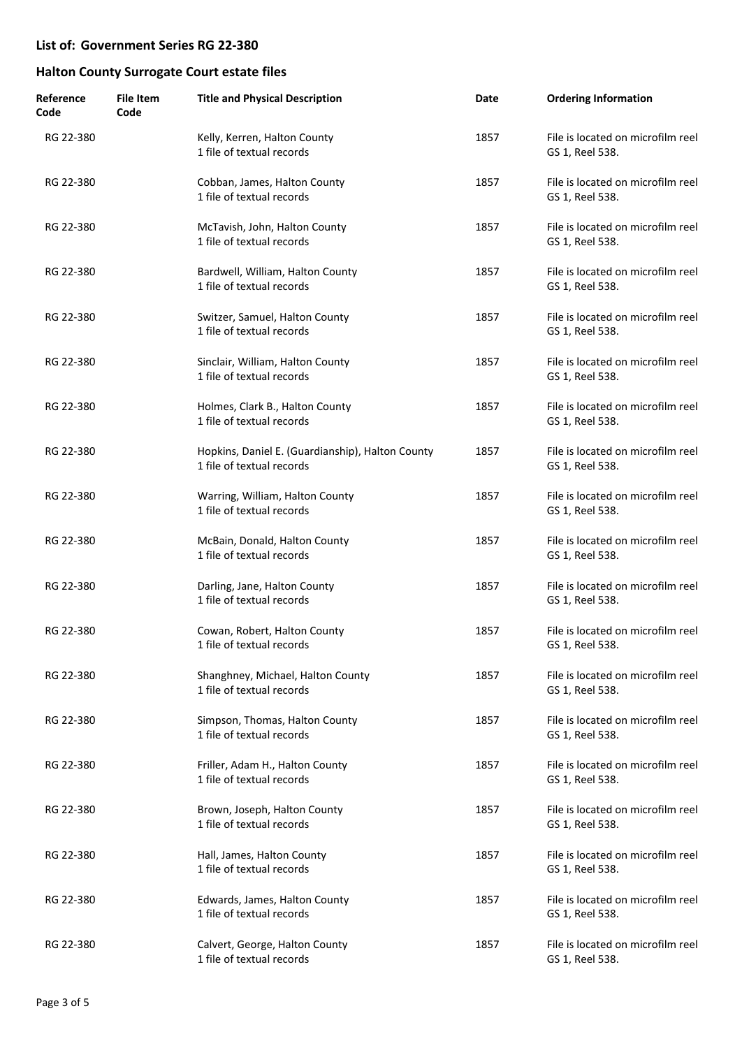| Reference<br>Code | <b>File Item</b><br>Code | <b>Title and Physical Description</b>                                         | Date | <b>Ordering Information</b>                          |
|-------------------|--------------------------|-------------------------------------------------------------------------------|------|------------------------------------------------------|
| RG 22-380         |                          | Kelly, Kerren, Halton County<br>1 file of textual records                     | 1857 | File is located on microfilm reel<br>GS 1, Reel 538. |
| RG 22-380         |                          | Cobban, James, Halton County<br>1 file of textual records                     | 1857 | File is located on microfilm reel<br>GS 1, Reel 538. |
| RG 22-380         |                          | McTavish, John, Halton County<br>1 file of textual records                    | 1857 | File is located on microfilm reel<br>GS 1, Reel 538. |
| RG 22-380         |                          | Bardwell, William, Halton County<br>1 file of textual records                 | 1857 | File is located on microfilm reel<br>GS 1, Reel 538. |
| RG 22-380         |                          | Switzer, Samuel, Halton County<br>1 file of textual records                   | 1857 | File is located on microfilm reel<br>GS 1, Reel 538. |
| RG 22-380         |                          | Sinclair, William, Halton County<br>1 file of textual records                 | 1857 | File is located on microfilm reel<br>GS 1, Reel 538. |
| RG 22-380         |                          | Holmes, Clark B., Halton County<br>1 file of textual records                  | 1857 | File is located on microfilm reel<br>GS 1, Reel 538. |
| RG 22-380         |                          | Hopkins, Daniel E. (Guardianship), Halton County<br>1 file of textual records | 1857 | File is located on microfilm reel<br>GS 1, Reel 538. |
| RG 22-380         |                          | Warring, William, Halton County<br>1 file of textual records                  | 1857 | File is located on microfilm reel<br>GS 1, Reel 538. |
| RG 22-380         |                          | McBain, Donald, Halton County<br>1 file of textual records                    | 1857 | File is located on microfilm reel<br>GS 1, Reel 538. |
| RG 22-380         |                          | Darling, Jane, Halton County<br>1 file of textual records                     | 1857 | File is located on microfilm reel<br>GS 1, Reel 538. |
| RG 22-380         |                          | Cowan, Robert, Halton County<br>1 file of textual records                     | 1857 | File is located on microfilm reel<br>GS 1, Reel 538. |
| RG 22-380         |                          | Shanghney, Michael, Halton County<br>1 file of textual records                | 1857 | File is located on microfilm reel<br>GS 1, Reel 538. |
| RG 22-380         |                          | Simpson, Thomas, Halton County<br>1 file of textual records                   | 1857 | File is located on microfilm reel<br>GS 1, Reel 538. |
| RG 22-380         |                          | Friller, Adam H., Halton County<br>1 file of textual records                  | 1857 | File is located on microfilm reel<br>GS 1, Reel 538. |
| RG 22-380         |                          | Brown, Joseph, Halton County<br>1 file of textual records                     | 1857 | File is located on microfilm reel<br>GS 1, Reel 538. |
| RG 22-380         |                          | Hall, James, Halton County<br>1 file of textual records                       | 1857 | File is located on microfilm reel<br>GS 1, Reel 538. |
| RG 22-380         |                          | Edwards, James, Halton County<br>1 file of textual records                    | 1857 | File is located on microfilm reel<br>GS 1, Reel 538. |
| RG 22-380         |                          | Calvert, George, Halton County<br>1 file of textual records                   | 1857 | File is located on microfilm reel<br>GS 1, Reel 538. |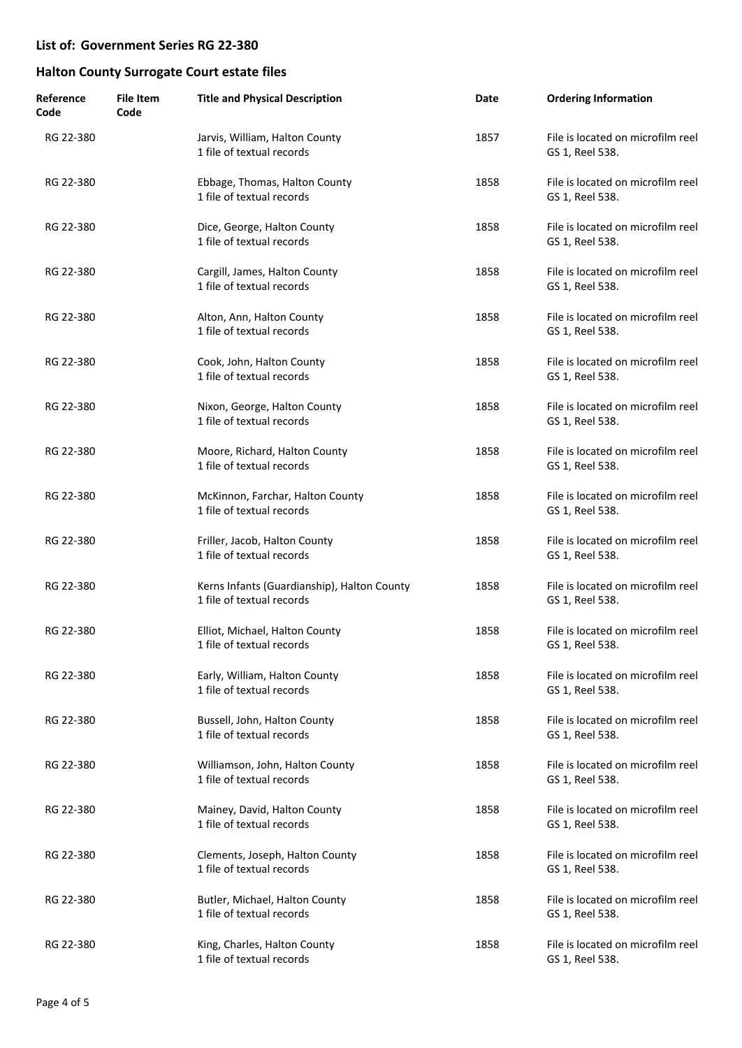| Reference<br>Code | <b>File Item</b><br>Code | <b>Title and Physical Description</b>                                    | Date | <b>Ordering Information</b>                          |
|-------------------|--------------------------|--------------------------------------------------------------------------|------|------------------------------------------------------|
| RG 22-380         |                          | Jarvis, William, Halton County<br>1 file of textual records              | 1857 | File is located on microfilm reel<br>GS 1, Reel 538. |
| RG 22-380         |                          | Ebbage, Thomas, Halton County<br>1 file of textual records               | 1858 | File is located on microfilm reel<br>GS 1, Reel 538. |
| RG 22-380         |                          | Dice, George, Halton County<br>1 file of textual records                 | 1858 | File is located on microfilm reel<br>GS 1, Reel 538. |
| RG 22-380         |                          | Cargill, James, Halton County<br>1 file of textual records               | 1858 | File is located on microfilm reel<br>GS 1, Reel 538. |
| RG 22-380         |                          | Alton, Ann, Halton County<br>1 file of textual records                   | 1858 | File is located on microfilm reel<br>GS 1, Reel 538. |
| RG 22-380         |                          | Cook, John, Halton County<br>1 file of textual records                   | 1858 | File is located on microfilm reel<br>GS 1, Reel 538. |
| RG 22-380         |                          | Nixon, George, Halton County<br>1 file of textual records                | 1858 | File is located on microfilm reel<br>GS 1, Reel 538. |
| RG 22-380         |                          | Moore, Richard, Halton County<br>1 file of textual records               | 1858 | File is located on microfilm reel<br>GS 1, Reel 538. |
| RG 22-380         |                          | McKinnon, Farchar, Halton County<br>1 file of textual records            | 1858 | File is located on microfilm reel<br>GS 1, Reel 538. |
| RG 22-380         |                          | Friller, Jacob, Halton County<br>1 file of textual records               | 1858 | File is located on microfilm reel<br>GS 1, Reel 538. |
| RG 22-380         |                          | Kerns Infants (Guardianship), Halton County<br>1 file of textual records | 1858 | File is located on microfilm reel<br>GS 1, Reel 538. |
| RG 22-380         |                          | Elliot, Michael, Halton County<br>1 file of textual records              | 1858 | File is located on microfilm reel<br>GS 1, Reel 538. |
| RG 22-380         |                          | Early, William, Halton County<br>1 file of textual records               | 1858 | File is located on microfilm reel<br>GS 1, Reel 538. |
| RG 22-380         |                          | Bussell, John, Halton County<br>1 file of textual records                | 1858 | File is located on microfilm reel<br>GS 1, Reel 538. |
| RG 22-380         |                          | Williamson, John, Halton County<br>1 file of textual records             | 1858 | File is located on microfilm reel<br>GS 1, Reel 538. |
| RG 22-380         |                          | Mainey, David, Halton County<br>1 file of textual records                | 1858 | File is located on microfilm reel<br>GS 1, Reel 538. |
| RG 22-380         |                          | Clements, Joseph, Halton County<br>1 file of textual records             | 1858 | File is located on microfilm reel<br>GS 1, Reel 538. |
| RG 22-380         |                          | Butler, Michael, Halton County<br>1 file of textual records              | 1858 | File is located on microfilm reel<br>GS 1, Reel 538. |
| RG 22-380         |                          | King, Charles, Halton County<br>1 file of textual records                | 1858 | File is located on microfilm reel<br>GS 1, Reel 538. |